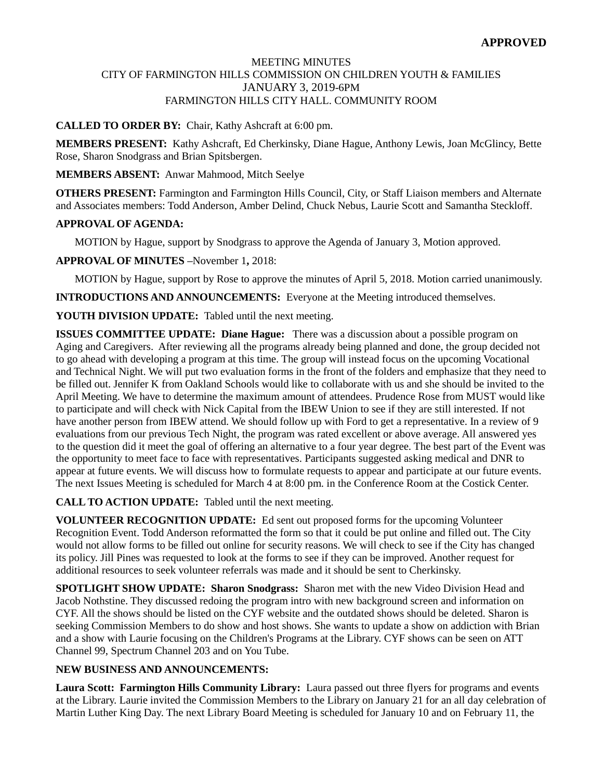## MEETING MINUTES CITY OF FARMINGTON HILLS COMMISSION ON CHILDREN YOUTH & FAMILIES JANUARY 3, 2019-6PM FARMINGTON HILLS CITY HALL. COMMUNITY ROOM

# **CALLED TO ORDER BY:** Chair, Kathy Ashcraft at 6:00 pm.

**MEMBERS PRESENT:** Kathy Ashcraft, Ed Cherkinsky, Diane Hague, Anthony Lewis, Joan McGlincy, Bette Rose, Sharon Snodgrass and Brian Spitsbergen.

## **MEMBERS ABSENT:** Anwar Mahmood, Mitch Seelye

**OTHERS PRESENT:** Farmington and Farmington Hills Council, City, or Staff Liaison members and Alternate and Associates members: Todd Anderson, Amber Delind, Chuck Nebus, Laurie Scott and Samantha Steckloff.

## **APPROVAL OF AGENDA:**

MOTION by Hague, support by Snodgrass to approve the Agenda of January 3, Motion approved.

**APPROVAL OF MINUTES –**November 1**,** 2018:

MOTION by Hague, support by Rose to approve the minutes of April 5, 2018. Motion carried unanimously.

**INTRODUCTIONS AND ANNOUNCEMENTS:** Everyone at the Meeting introduced themselves.

**YOUTH DIVISION UPDATE:** Tabled until the next meeting.

**ISSUES COMMITTEE UPDATE: Diane Hague:** There was a discussion about a possible program on Aging and Caregivers. After reviewing all the programs already being planned and done, the group decided not to go ahead with developing a program at this time. The group will instead focus on the upcoming Vocational and Technical Night. We will put two evaluation forms in the front of the folders and emphasize that they need to be filled out. Jennifer K from Oakland Schools would like to collaborate with us and she should be invited to the April Meeting. We have to determine the maximum amount of attendees. Prudence Rose from MUST would like to participate and will check with Nick Capital from the IBEW Union to see if they are still interested. If not have another person from IBEW attend. We should follow up with Ford to get a representative. In a review of 9 evaluations from our previous Tech Night, the program was rated excellent or above average. All answered yes to the question did it meet the goal of offering an alternative to a four year degree. The best part of the Event was the opportunity to meet face to face with representatives. Participants suggested asking medical and DNR to appear at future events. We will discuss how to formulate requests to appear and participate at our future events. The next Issues Meeting is scheduled for March 4 at 8:00 pm. in the Conference Room at the Costick Center.

**CALL TO ACTION UPDATE:** Tabled until the next meeting.

**VOLUNTEER RECOGNITION UPDATE:** Ed sent out proposed forms for the upcoming Volunteer Recognition Event. Todd Anderson reformatted the form so that it could be put online and filled out. The City would not allow forms to be filled out online for security reasons. We will check to see if the City has changed its policy. Jill Pines was requested to look at the forms to see if they can be improved. Another request for additional resources to seek volunteer referrals was made and it should be sent to Cherkinsky.

**SPOTLIGHT SHOW UPDATE: Sharon Snodgrass:** Sharon met with the new Video Division Head and Jacob Nothstine. They discussed redoing the program intro with new background screen and information on CYF. All the shows should be listed on the CYF website and the outdated shows should be deleted. Sharon is seeking Commission Members to do show and host shows. She wants to update a show on addiction with Brian and a show with Laurie focusing on the Children's Programs at the Library. CYF shows can be seen on ATT Channel 99, Spectrum Channel 203 and on You Tube.

## **NEW BUSINESS AND ANNOUNCEMENTS:**

**Laura Scott: Farmington Hills Community Library:** Laura passed out three flyers for programs and events at the Library. Laurie invited the Commission Members to the Library on January 21 for an all day celebration of Martin Luther King Day. The next Library Board Meeting is scheduled for January 10 and on February 11, the